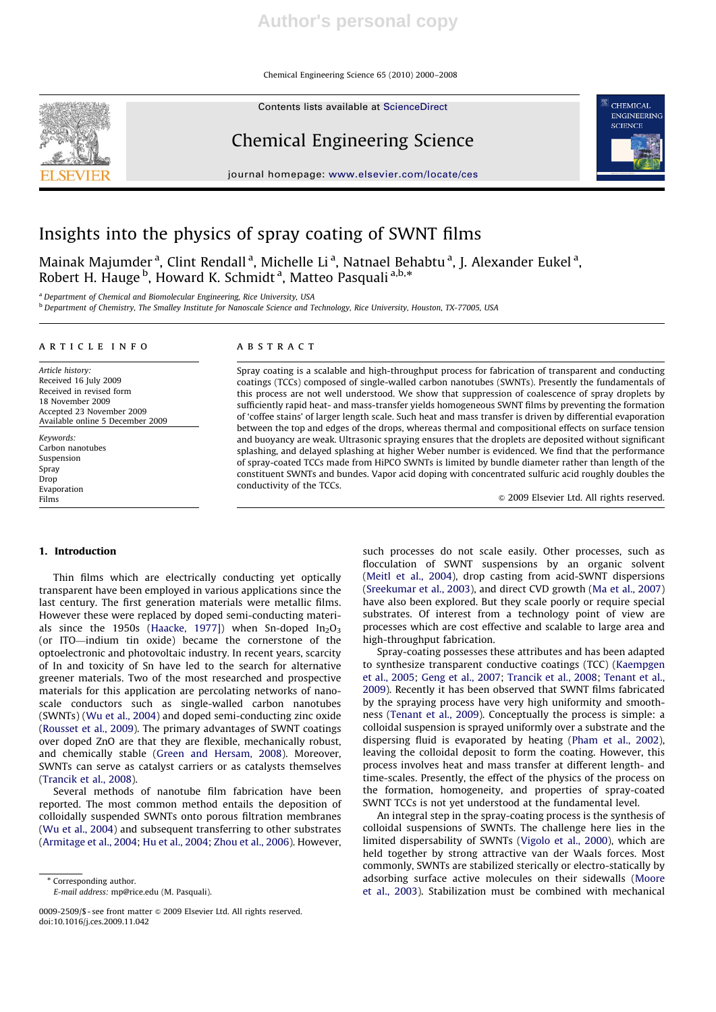Chemical Engineering Science 65 (2010) 2000–2008

Contents lists available at ScienceDirect

# Chemical Engineering Science

journal homepage: www.elsevier.com/locate/ces



## Insights into the physics of spray coating of SWNT films

Mainak Majumder<sup>a</sup>, Clint Rendall<sup>a</sup>, Michelle Li<sup>a</sup>, Natnael Behabtu<sup>a</sup>, J. Alexander Eukel<sup>a</sup>, maman majamaer , emit nehaan , miehene zr , mamaer Ber<br>Robert H. Hauge <sup>b</sup>, Howard K. Schmidt <sup>a</sup>, Matteo Pasquali <sup>a,b,\*</sup>

<sup>a</sup> Department of Chemical and Biomolecular Engineering, Rice University, USA

<sup>b</sup> Department of Chemistry, The Smalley Institute for Nanoscale Science and Technology, Rice University, Houston, TX-77005, USA

## article info

Article history: Received 16 July 2009 Received in revised form 18 November 2009 Accepted 23 November 2009 Available online 5 December 2009

Keywords: Carbon nanotubes Suspension Spray Drop Evaporation Films

## ABSTRACT

Spray coating is a scalable and high-throughput process for fabrication of transparent and conducting coatings (TCCs) composed of single-walled carbon nanotubes (SWNTs). Presently the fundamentals of this process are not well understood. We show that suppression of coalescence of spray droplets by sufficiently rapid heat- and mass-transfer yields homogeneous SWNT films by preventing the formation of 'coffee stains' of larger length scale. Such heat and mass transfer is driven by differential evaporation between the top and edges of the drops, whereas thermal and compositional effects on surface tension and buoyancy are weak. Ultrasonic spraying ensures that the droplets are deposited without significant splashing, and delayed splashing at higher Weber number is evidenced. We find that the performance of spray-coated TCCs made from HiPCO SWNTs is limited by bundle diameter rather than length of the constituent SWNTs and bundes. Vapor acid doping with concentrated sulfuric acid roughly doubles the conductivity of the TCCs.

 $\circ$  2009 Elsevier Ltd. All rights reserved.

## 1. Introduction

Thin films which are electrically conducting yet optically transparent have been employed in various applications since the last century. The first generation materials were metallic films. However these were replaced by doped semi-conducting materials since the 1950s (Haacke, 1977]) when Sn-doped  $In_2O_3$ (or ITO—indium tin oxide) became the cornerstone of the optoelectronic and photovoltaic industry. In recent years, scarcity of In and toxicity of Sn have led to the search for alternative greener materials. Two of the most researched and prospective materials for this application are percolating networks of nanoscale conductors such as single-walled carbon nanotubes (SWNTs) (Wu et al., 2004) and doped semi-conducting zinc oxide (Rousset et al., 2009). The primary advantages of SWNT coatings over doped ZnO are that they are flexible, mechanically robust, and chemically stable (Green and Hersam, 2008). Moreover, SWNTs can serve as catalyst carriers or as catalysts themselves (Trancik et al., 2008).

Several methods of nanotube film fabrication have been reported. The most common method entails the deposition of colloidally suspended SWNTs onto porous filtration membranes (Wu et al., 2004) and subsequent transferring to other substrates (Armitage et al., 2004; Hu et al., 2004; Zhou et al., 2006). However, such processes do not scale easily. Other processes, such as flocculation of SWNT suspensions by an organic solvent (Meitl et al., 2004), drop casting from acid-SWNT dispersions (Sreekumar et al., 2003), and direct CVD growth (Ma et al., 2007) have also been explored. But they scale poorly or require special substrates. Of interest from a technology point of view are processes which are cost effective and scalable to large area and high-throughput fabrication.

Spray-coating possesses these attributes and has been adapted to synthesize transparent conductive coatings (TCC) (Kaempgen et al., 2005; Geng et al., 2007; Trancik et al., 2008; Tenant et al., 2009). Recently it has been observed that SWNT films fabricated by the spraying process have very high uniformity and smoothness (Tenant et al., 2009). Conceptually the process is simple: a colloidal suspension is sprayed uniformly over a substrate and the dispersing fluid is evaporated by heating (Pham et al., 2002), leaving the colloidal deposit to form the coating. However, this process involves heat and mass transfer at different length- and time-scales. Presently, the effect of the physics of the process on the formation, homogeneity, and properties of spray-coated SWNT TCCs is not yet understood at the fundamental level.

An integral step in the spray-coating process is the synthesis of colloidal suspensions of SWNTs. The challenge here lies in the limited dispersability of SWNTs (Vigolo et al., 2000), which are held together by strong attractive van der Waals forces. Most commonly, SWNTs are stabilized sterically or electro-statically by adsorbing surface active molecules on their sidewalls (Moore et al., 2003). Stabilization must be combined with mechanical



<sup>\*</sup> Corresponding author.

E-mail address: mp@rice.edu (M. Pasquali).

<sup>0009-2509/\$ -</sup> see front matter & 2009 Elsevier Ltd. All rights reserved. doi:10.1016/j.ces.2009.11.042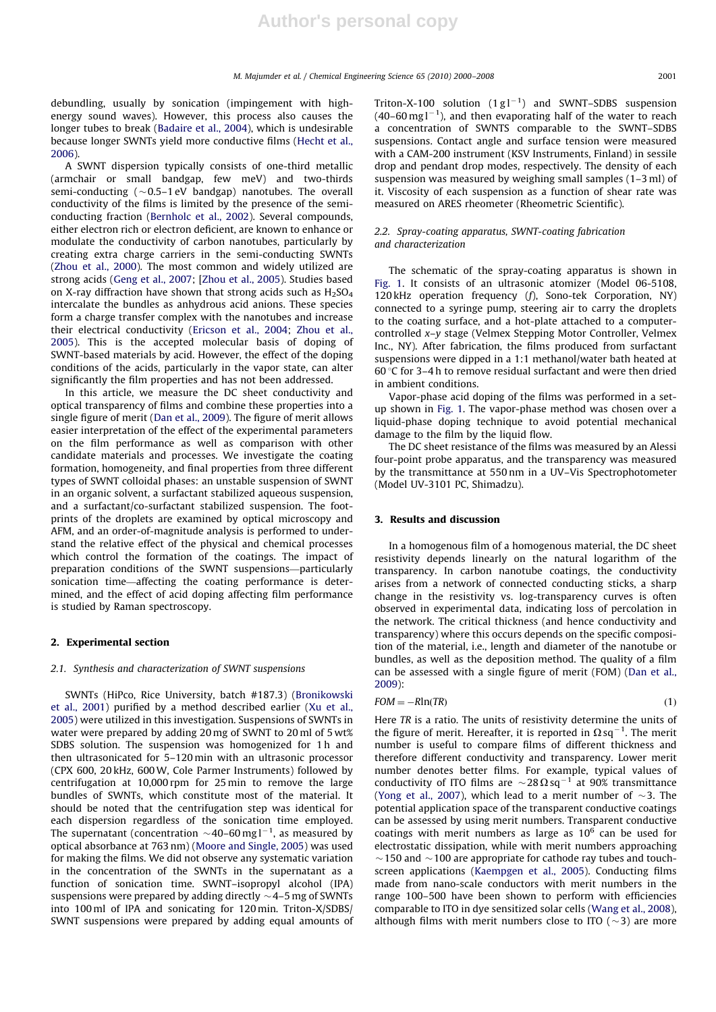debundling, usually by sonication (impingement with highenergy sound waves). However, this process also causes the longer tubes to break (Badaire et al., 2004), which is undesirable because longer SWNTs yield more conductive films (Hecht et al., 2006).

A SWNT dispersion typically consists of one-third metallic (armchair or small bandgap, few meV) and two-thirds semi-conducting ( $\sim$ 0.5–1 eV bandgap) nanotubes. The overall conductivity of the films is limited by the presence of the semiconducting fraction (Bernholc et al., 2002). Several compounds, either electron rich or electron deficient, are known to enhance or modulate the conductivity of carbon nanotubes, particularly by creating extra charge carriers in the semi-conducting SWNTs (Zhou et al., 2000). The most common and widely utilized are strong acids (Geng et al., 2007; [Zhou et al., 2005). Studies based on X-ray diffraction have shown that strong acids such as  $H<sub>2</sub>SO<sub>4</sub>$ intercalate the bundles as anhydrous acid anions. These species form a charge transfer complex with the nanotubes and increase their electrical conductivity (Ericson et al., 2004; Zhou et al., 2005). This is the accepted molecular basis of doping of SWNT-based materials by acid. However, the effect of the doping conditions of the acids, particularly in the vapor state, can alter significantly the film properties and has not been addressed.

In this article, we measure the DC sheet conductivity and optical transparency of films and combine these properties into a single figure of merit (Dan et al., 2009). The figure of merit allows easier interpretation of the effect of the experimental parameters on the film performance as well as comparison with other candidate materials and processes. We investigate the coating formation, homogeneity, and final properties from three different types of SWNT colloidal phases: an unstable suspension of SWNT in an organic solvent, a surfactant stabilized aqueous suspension, and a surfactant/co-surfactant stabilized suspension. The footprints of the droplets are examined by optical microscopy and AFM, and an order-of-magnitude analysis is performed to understand the relative effect of the physical and chemical processes which control the formation of the coatings. The impact of preparation conditions of the SWNT suspensions—particularly sonication time—affecting the coating performance is determined, and the effect of acid doping affecting film performance is studied by Raman spectroscopy.

## 2. Experimental section

## 2.1. Synthesis and characterization of SWNT suspensions

SWNTs (HiPco, Rice University, batch #187.3) (Bronikowski et al., 2001) purified by a method described earlier (Xu et al., 2005) were utilized in this investigation. Suspensions of SWNTs in water were prepared by adding 20 mg of SWNT to 20 ml of 5 wt% SDBS solution. The suspension was homogenized for 1 h and then ultrasonicated for 5–120 min with an ultrasonic processor (CPX 600, 20 kHz, 600W, Cole Parmer Instruments) followed by centrifugation at 10,000 rpm for 25 min to remove the large bundles of SWNTs, which constitute most of the material. It should be noted that the centrifugation step was identical for each dispersion regardless of the sonication time employed. The supernatant (concentration  $\sim$  40–60 mg l<sup>-1</sup>, as measured by optical absorbance at 763 nm) (Moore and Single, 2005) was used for making the films. We did not observe any systematic variation in the concentration of the SWNTs in the supernatant as a function of sonication time. SWNT–isopropyl alcohol (IPA) suspensions were prepared by adding directly  $\sim$  4–5 mg of SWNTs into 100 ml of IPA and sonicating for 120 min. Triton-X/SDBS/ SWNT suspensions were prepared by adding equal amounts of

Triton-X-100 solution  $(1 g l^{-1})$  and SWNT-SDBS suspension (40–60 mg  $l^{-1}$ ), and then evaporating half of the water to reach a concentration of SWNTS comparable to the SWNT–SDBS suspensions. Contact angle and surface tension were measured with a CAM-200 instrument (KSV Instruments, Finland) in sessile drop and pendant drop modes, respectively. The density of each suspension was measured by weighing small samples (1–3 ml) of it. Viscosity of each suspension as a function of shear rate was measured on ARES rheometer (Rheometric Scientific).

## 2.2. Spray-coating apparatus, SWNT-coating fabrication and characterization

The schematic of the spray-coating apparatus is shown in Fig. 1. It consists of an ultrasonic atomizer (Model 06-5108, 120 kHz operation frequency (f), Sono-tek Corporation, NY) connected to a syringe pump, steering air to carry the droplets to the coating surface, and a hot-plate attached to a computercontrolled x–y stage (Velmex Stepping Motor Controller, Velmex Inc., NY). After fabrication, the films produced from surfactant suspensions were dipped in a 1:1 methanol/water bath heated at 60 $\degree$ C for 3–4 h to remove residual surfactant and were then dried in ambient conditions.

Vapor-phase acid doping of the films was performed in a setup shown in Fig. 1. The vapor-phase method was chosen over a liquid-phase doping technique to avoid potential mechanical damage to the film by the liquid flow.

The DC sheet resistance of the films was measured by an Alessi four-point probe apparatus, and the transparency was measured by the transmittance at 550 nm in a UV–Vis Spectrophotometer (Model UV-3101 PC, Shimadzu).

## 3. Results and discussion

In a homogenous film of a homogenous material, the DC sheet resistivity depends linearly on the natural logarithm of the transparency. In carbon nanotube coatings, the conductivity arises from a network of connected conducting sticks, a sharp change in the resistivity vs. log-transparency curves is often observed in experimental data, indicating loss of percolation in the network. The critical thickness (and hence conductivity and transparency) where this occurs depends on the specific composition of the material, i.e., length and diameter of the nanotube or bundles, as well as the deposition method. The quality of a film can be assessed with a single figure of merit (FOM) (Dan et al., 2009):

$$
FOM = -Rln(TR) \tag{1}
$$

Here TR is a ratio. The units of resistivity determine the units of the figure of merit. Hereafter, it is reported in  $\Omega$  sq<sup>-1</sup>. The merit number is useful to compare films of different thickness and therefore different conductivity and transparency. Lower merit number denotes better films. For example, typical values of conductivity of ITO films are  $\sim$  28  $\Omega$  sq<sup>-1</sup> at 90% transmittance (Yong et al., 2007), which lead to a merit number of  $\sim$ 3. The potential application space of the transparent conductive coatings can be assessed by using merit numbers. Transparent conductive coatings with merit numbers as large as  $10^6$  can be used for electrostatic dissipation, while with merit numbers approaching  $\sim$  150 and  $\sim$  100 are appropriate for cathode ray tubes and touchscreen applications (Kaempgen et al., 2005). Conducting films made from nano-scale conductors with merit numbers in the range 100–500 have been shown to perform with efficiencies comparable to ITO in dye sensitized solar cells (Wang et al., 2008), although films with merit numbers close to ITO ( $\sim$ 3) are more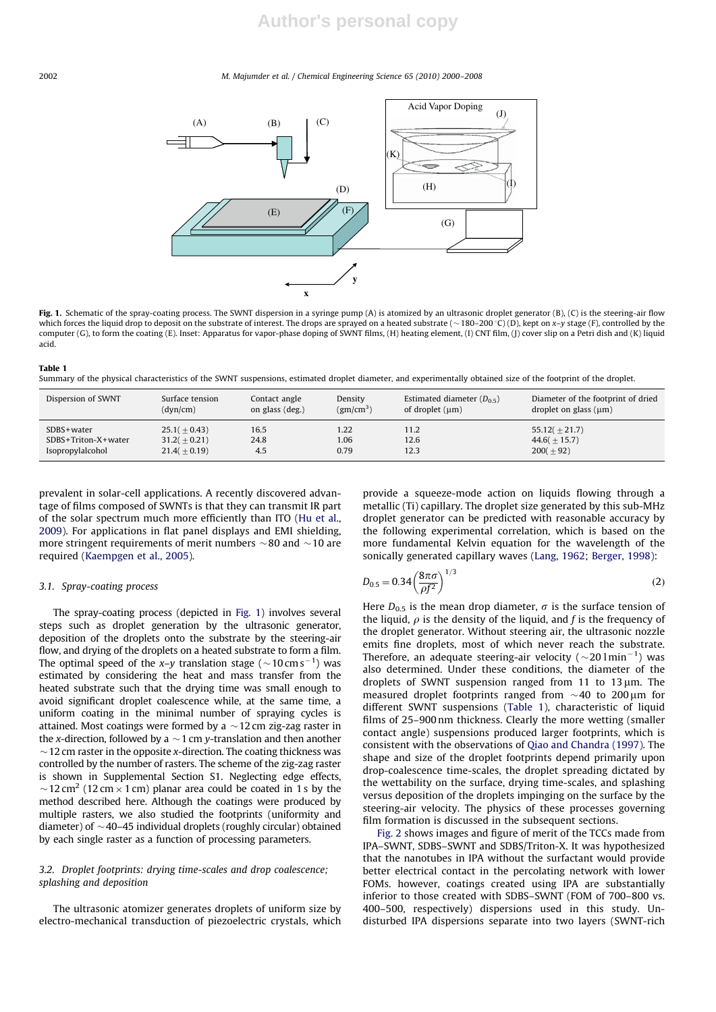#### 2002 M. Majumder et al. / Chemical Engineering Science 65 (2010) 2000–2008



Fig. 1. Schematic of the spray-coating process. The SWNT dispersion in a syringe pump (A) is atomized by an ultrasonic droplet generator (B), (C) is the steering-air flow which forces the liquid drop to deposit on the substrate of interest. The drops are sprayed on a heated substrate ( $\sim$ 180–200 °C) (D), kept on x–y stage (F), controlled by the computer (G), to form the coating (E). Inset: Apparatus for vapor-phase doping of SWNT films, (H) heating element, (I) CNT film, (J) cover slip on a Petri dish and (K) liquid acid.

#### Table 1

Summary of the physical characteristics of the SWNT suspensions, estimated droplet diameter, and experimentally obtained size of the footprint of the droplet.

| Dispersion of SWNT  | Surface tension | Contact angle   | Density               | Estimated diameter $(D_{0.5})$ | Diameter of the footprint of dried |
|---------------------|-----------------|-----------------|-----------------------|--------------------------------|------------------------------------|
|                     | (dyn/cm)        | on glass (deg.) | (gm/cm <sup>3</sup> ) | of droplet $(\mu m)$           | droplet on glass $(\mu m)$         |
| $SDBS + water$      | $25.1(+0.43)$   | 16.5            | 1.22                  | 11.2                           | $55.12(+21.7)$                     |
| SDBS+Triton-X+water | $31.2(+0.21)$   | 24.8            | 1.06                  | 12.6                           | $44.6(+15.7)$                      |
| Isopropylalcohol    | $21.4(+0.19)$   | 4.5             | 0.79                  | 12.3                           | $200(+92)$                         |

prevalent in solar-cell applications. A recently discovered advantage of films composed of SWNTs is that they can transmit IR part of the solar spectrum much more efficiently than ITO (Hu et al., 2009). For applications in flat panel displays and EMI shielding, more stringent requirements of merit numbers  $\sim$ 80 and  $\sim$ 10 are required (Kaempgen et al., 2005).

## 3.1. Spray-coating process

The spray-coating process (depicted in Fig. 1) involves several steps such as droplet generation by the ultrasonic generator, deposition of the droplets onto the substrate by the steering-air flow, and drying of the droplets on a heated substrate to form a film. The optimal speed of the x–y translation stage ( $\sim$ 10 cm s $^{-1}$ ) was estimated by considering the heat and mass transfer from the heated substrate such that the drying time was small enough to avoid significant droplet coalescence while, at the same time, a uniform coating in the minimal number of spraying cycles is attained. Most coatings were formed by a  $\sim$  12 cm zig-zag raster in the x-direction, followed by a  $\sim$  1 cm y-translation and then another  $\sim$  12 cm raster in the opposite x-direction. The coating thickness was controlled by the number of rasters. The scheme of the zig-zag raster is shown in Supplemental Section S1. Neglecting edge effects,  $\sim$  12 cm<sup>2</sup> (12 cm  $\times$  1 cm) planar area could be coated in 1 s by the method described here. Although the coatings were produced by multiple rasters, we also studied the footprints (uniformity and diameter) of  $\sim$  40–45 individual droplets (roughly circular) obtained by each single raster as a function of processing parameters.

## 3.2. Droplet footprints: drying time-scales and drop coalescence; splashing and deposition

The ultrasonic atomizer generates droplets of uniform size by electro-mechanical transduction of piezoelectric crystals, which provide a squeeze-mode action on liquids flowing through a metallic (Ti) capillary. The droplet size generated by this sub-MHz droplet generator can be predicted with reasonable accuracy by the following experimental correlation, which is based on the more fundamental Kelvin equation for the wavelength of the sonically generated capillary waves (Lang, 1962; Berger, 1998):

$$
D_{0.5} = 0.34 \left(\frac{8\pi\sigma}{\rho f^2}\right)^{1/3} \tag{2}
$$

Here  $D_{0.5}$  is the mean drop diameter,  $\sigma$  is the surface tension of the liquid,  $\rho$  is the density of the liquid, and f is the frequency of the droplet generator. Without steering air, the ultrasonic nozzle emits fine droplets, most of which never reach the substrate. Therefore, an adequate steering-air velocity ( $\sim$ 20 lmin<sup>-1</sup>) was also determined. Under these conditions, the diameter of the droplets of SWNT suspension ranged from 11 to 13  $\mu$ m. The measured droplet footprints ranged from  $\sim$  40 to 200  $\mu$ m for different SWNT suspensions (Table 1), characteristic of liquid films of 25–900 nm thickness. Clearly the more wetting (smaller contact angle) suspensions produced larger footprints, which is consistent with the observations of Qiao and Chandra (1997). The shape and size of the droplet footprints depend primarily upon drop-coalescence time-scales, the droplet spreading dictated by the wettability on the surface, drying time-scales, and splashing versus deposition of the droplets impinging on the surface by the steering-air velocity. The physics of these processes governing film formation is discussed in the subsequent sections.

Fig. 2 shows images and figure of merit of the TCCs made from IPA–SWNT, SDBS–SWNT and SDBS/Triton-X. It was hypothesized that the nanotubes in IPA without the surfactant would provide better electrical contact in the percolating network with lower FOMs. however, coatings created using IPA are substantially inferior to those created with SDBS–SWNT (FOM of 700–800 vs. 400–500, respectively) dispersions used in this study. Undisturbed IPA dispersions separate into two layers (SWNT-rich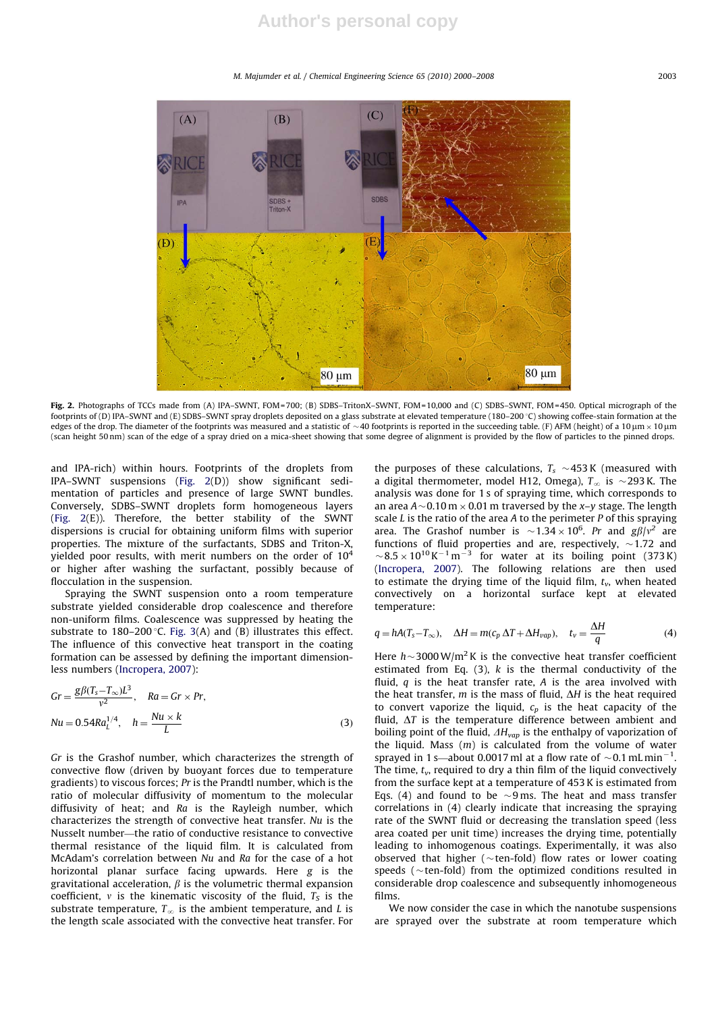M. Majumder et al. / Chemical Engineering Science 65 (2010) 2000–2008 2003



Fig. 2. Photographs of TCCs made from (A) IPA–SWNT, FOM=700; (B) SDBS–TritonX–SWNT, FOM=10,000 and (C) SDBS–SWNT, FOM=450. Optical micrograph of the footprints of (D) IPA-SWNT and (E) SDBS-SWNT spray droplets deposited on a glass substrate at elevated temperature (180-200 °C) showing coffee-stain formation at the edges of the drop. The diameter of the footprints was measured and a statistic of  $\sim$  40 footprints is reported in the succeeding table. (F) AFM (height) of a 10  $\mu$ m  $\times$  10  $\mu$ m (scan height 50 nm) scan of the edge of a spray dried on a mica-sheet showing that some degree of alignment is provided by the flow of particles to the pinned drops.

and IPA-rich) within hours. Footprints of the droplets from IPA–SWNT suspensions (Fig. 2(D)) show significant sedimentation of particles and presence of large SWNT bundles. Conversely, SDBS–SWNT droplets form homogeneous layers (Fig. 2(E)). Therefore, the better stability of the SWNT dispersions is crucial for obtaining uniform films with superior properties. The mixture of the surfactants, SDBS and Triton-X, yielded poor results, with merit numbers on the order of  $10^4$ or higher after washing the surfactant, possibly because of flocculation in the suspension.

Spraying the SWNT suspension onto a room temperature substrate yielded considerable drop coalescence and therefore non-uniform films. Coalescence was suppressed by heating the substrate to 180–200 °C. Fig. 3(A) and (B) illustrates this effect. The influence of this convective heat transport in the coating formation can be assessed by defining the important dimensionless numbers (Incropera, 2007):

$$
Gr = \frac{g\beta(T_s - T_{\infty})L^3}{v^2}, \quad Ra = Gr \times Pr,
$$
  
\n
$$
Nu = 0.54Ra_L^{1/4}, \quad h = \frac{Nu \times k}{L}
$$
 (3)

Gr is the Grashof number, which characterizes the strength of convective flow (driven by buoyant forces due to temperature gradients) to viscous forces; Pr is the Prandtl number, which is the ratio of molecular diffusivity of momentum to the molecular diffusivity of heat; and Ra is the Rayleigh number, which characterizes the strength of convective heat transfer. Nu is the Nusselt number—the ratio of conductive resistance to convective thermal resistance of the liquid film. It is calculated from McAdam's correlation between Nu and Ra for the case of a hot horizontal planar surface facing upwards. Here g is the gravitational acceleration,  $\beta$  is the volumetric thermal expansion coefficient,  $v$  is the kinematic viscosity of the fluid,  $T_S$  is the substrate temperature,  $T_\infty$  is the ambient temperature, and L is the length scale associated with the convective heat transfer. For

the purposes of these calculations,  $T_s \sim$ 453K (measured with a digital thermometer, model H12, Omega),  $T_{\infty}$  is  $\sim$ 293 K. The analysis was done for 1 s of spraying time, which corresponds to an area A $\sim$ 0.10 m  $\times$  0.01 m traversed by the x–y stage. The length scale  $L$  is the ratio of the area  $A$  to the perimeter  $P$  of this spraying area. The Grashof number is  $\sim$  1.34  $\times$  10<sup>6</sup>. Pr and g $\beta/\nu^2$  are functions of fluid properties and are, respectively,  $\sim$ 1.72 and  $\sim$  8.5  $\times$  10<sup>10</sup> K<sup>-1</sup> m<sup>-3</sup> for water at its boiling point (373 K) (Incropera, 2007). The following relations are then used to estimate the drying time of the liquid film,  $t_v$ , when heated convectively on a horizontal surface kept at elevated temperature:

$$
q = hA(T_s - T_{\infty}), \quad \Delta H = m(c_p \Delta T + \Delta H_{vap}), \quad t_v = \frac{\Delta H}{q}
$$
(4)

Here  $h$  ~ 3000 W/m<sup>2</sup> K is the convective heat transfer coefficient estimated from Eq.  $(3)$ , k is the thermal conductivity of the fluid,  $q$  is the heat transfer rate,  $A$  is the area involved with the heat transfer, m is the mass of fluid,  $\Delta H$  is the heat required to convert vaporize the liquid,  $c_p$  is the heat capacity of the fluid,  $\Delta T$  is the temperature difference between ambient and boiling point of the fluid,  $\Delta H_{\nu ap}$  is the enthalpy of vaporization of the liquid. Mass  $(m)$  is calculated from the volume of water sprayed in 1 s—about 0.0017 ml at a flow rate of  $\sim$  0.1 mL min<sup>-1</sup>. The time,  $t_v$ , required to dry a thin film of the liquid convectively from the surface kept at a temperature of 453 K is estimated from Eqs. (4) and found to be  $\sim$ 9 ms. The heat and mass transfer correlations in (4) clearly indicate that increasing the spraying rate of the SWNT fluid or decreasing the translation speed (less area coated per unit time) increases the drying time, potentially leading to inhomogenous coatings. Experimentally, it was also observed that higher ( $\sim$ ten-fold) flow rates or lower coating speeds ( $\sim$ ten-fold) from the optimized conditions resulted in considerable drop coalescence and subsequently inhomogeneous films.

We now consider the case in which the nanotube suspensions are sprayed over the substrate at room temperature which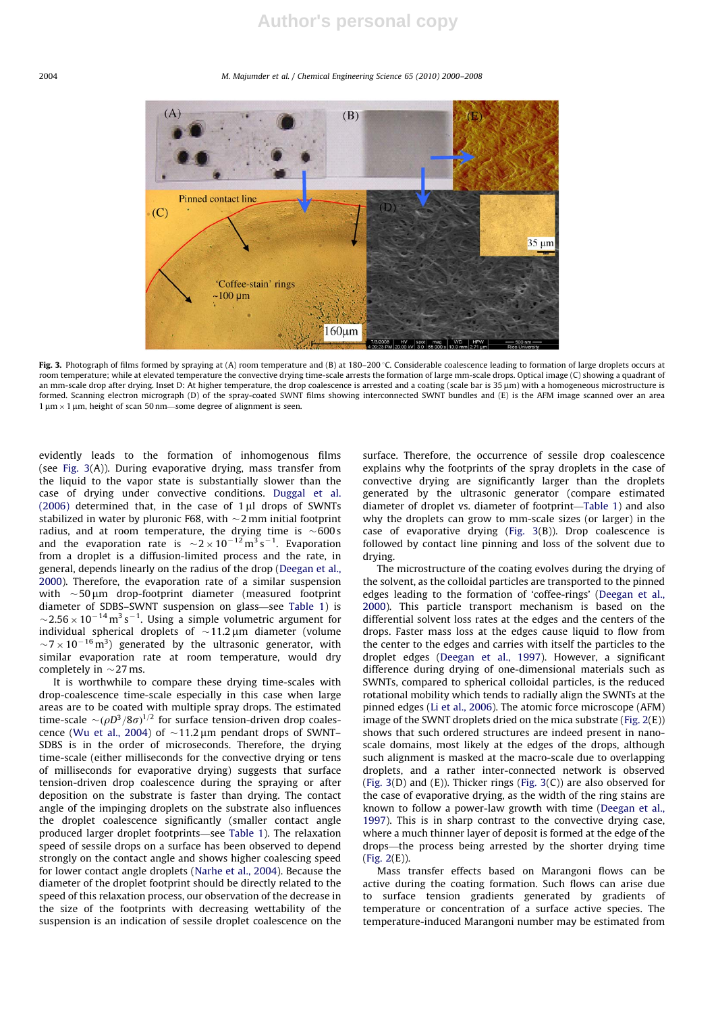#### 2004 M. Majumder et al. / Chemical Engineering Science 65 (2010) 2000–2008



Fig. 3. Photograph of films formed by spraying at (A) room temperature and (B) at 180–200 °C. Considerable coalescence leading to formation of large droplets occurs at room temperature; while at elevated temperature the convective drying time-scale arrests the formation of large mm-scale drops. Optical image (C) showing a quadrant of an mm-scale drop after drying. Inset D: At higher temperature, the drop coalescence is arrested and a coating (scale bar is 35 µm) with a homogeneous microstructure is formed. Scanning electron micrograph (D) of the spray-coated SWNT films showing interconnected SWNT bundles and (E) is the AFM image scanned over an area formed. Scanning electron micrograph (D) of the spray-coated SWNT fi  $1 \mu m \times 1 \mu m$ , height of scan 50 nm—some degree of alignment is seen.

evidently leads to the formation of inhomogenous films (see Fig. 3(A)). During evaporative drying, mass transfer from the liquid to the vapor state is substantially slower than the case of drying under convective conditions. Duggal et al. (2006) determined that, in the case of  $1 \mu$ l drops of SWNTs stabilized in water by pluronic F68, with  $\sim$ 2 mm initial footprint radius, and at room temperature, the drying time is  $\sim$ 600s and the evaporation rate is  $\sim$ 2  $\times$  10<sup>-12</sup> m<sup>3</sup> s<sup>-1</sup>. Evaporation from a droplet is a diffusion-limited process and the rate, in general, depends linearly on the radius of the drop (Deegan et al., 2000). Therefore, the evaporation rate of a similar suspension with  $\sim$  50  $\mu$ m drop-footprint diameter (measured footprint diameter of SDBS–SWNT suspension on glass—see Table 1) is  $\sim$ 2.56  $\times$  10<sup>-14</sup> m<sup>3</sup> s<sup>-1</sup>. Using a simple volumetric argument for individual spherical droplets of  $\sim$ 11.2  $\mu$ m diameter (volume  $\sim$ 7  $\times$  10<sup>-16</sup> m<sup>3</sup>) generated by the ultrasonic generator, with similar evaporation rate at room temperature, would dry completely in  $\sim$  27 ms.

It is worthwhile to compare these drying time-scales with drop-coalescence time-scale especially in this case when large areas are to be coated with multiple spray drops. The estimated time-scale  $\sim$  ( $\rho D^3/8\sigma$ )<sup>1/2</sup> for surface tension-driven drop coalescence (Wu et al., 2004) of  $\sim$  11.2 µm pendant drops of SWNT– SDBS is in the order of microseconds. Therefore, the drying time-scale (either milliseconds for the convective drying or tens of milliseconds for evaporative drying) suggests that surface tension-driven drop coalescence during the spraying or after deposition on the substrate is faster than drying. The contact angle of the impinging droplets on the substrate also influences the droplet coalescence significantly (smaller contact angle produced larger droplet footprints—see Table 1). The relaxation speed of sessile drops on a surface has been observed to depend strongly on the contact angle and shows higher coalescing speed for lower contact angle droplets (Narhe et al., 2004). Because the diameter of the droplet footprint should be directly related to the speed of this relaxation process, our observation of the decrease in the size of the footprints with decreasing wettability of the suspension is an indication of sessile droplet coalescence on the surface. Therefore, the occurrence of sessile drop coalescence explains why the footprints of the spray droplets in the case of convective drying are significantly larger than the droplets generated by the ultrasonic generator (compare estimated diameter of droplet vs. diameter of footprint—Table 1) and also why the droplets can grow to mm-scale sizes (or larger) in the case of evaporative drying (Fig. 3(B)). Drop coalescence is followed by contact line pinning and loss of the solvent due to drying.

The microstructure of the coating evolves during the drying of the solvent, as the colloidal particles are transported to the pinned edges leading to the formation of 'coffee-rings' (Deegan et al., 2000). This particle transport mechanism is based on the differential solvent loss rates at the edges and the centers of the drops. Faster mass loss at the edges cause liquid to flow from the center to the edges and carries with itself the particles to the droplet edges (Deegan et al., 1997). However, a significant difference during drying of one-dimensional materials such as SWNTs, compared to spherical colloidal particles, is the reduced rotational mobility which tends to radially align the SWNTs at the pinned edges (Li et al., 2006). The atomic force microscope (AFM) image of the SWNT droplets dried on the mica substrate (Fig. 2(E)) shows that such ordered structures are indeed present in nanoscale domains, most likely at the edges of the drops, although such alignment is masked at the macro-scale due to overlapping droplets, and a rather inter-connected network is observed (Fig.  $3(D)$  and  $(E)$ ). Thicker rings (Fig.  $3(C)$ ) are also observed for the case of evaporative drying, as the width of the ring stains are known to follow a power-law growth with time (Deegan et al., 1997). This is in sharp contrast to the convective drying case, where a much thinner layer of deposit is formed at the edge of the drops—the process being arrested by the shorter drying time (Fig. 2(E)).

Mass transfer effects based on Marangoni flows can be active during the coating formation. Such flows can arise due to surface tension gradients generated by gradients of temperature or concentration of a surface active species. The temperature-induced Marangoni number may be estimated from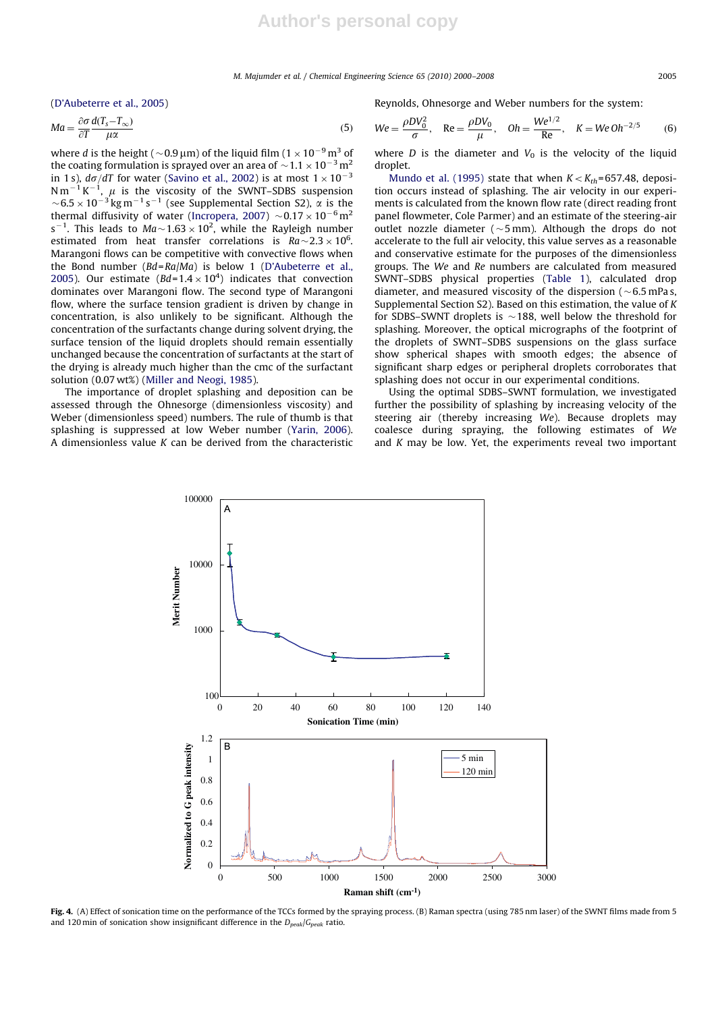(D'Aubeterre et al., 2005)

$$
Ma = \frac{\partial \sigma}{\partial T} \frac{d(T_s - T_\infty)}{\mu \alpha} \tag{5}
$$

where *d* is the height (  $\sim$  0.9 µm) of the liquid film (1  $\times$  10<sup>-9</sup> m<sup>3</sup> of the coating formulation is sprayed over an area of  $\sim$  1.1  $\times$  10 $^{-3}$  m $^2$ in 1 s),  $d\sigma/dT$  for water (Savino et al., 2002) is at most  $1 \times 10^{-3}$ N m<sup>-1</sup> K<sup>-1</sup>,  $\mu$  is the viscosity of the SWNT-SDBS suspension  $\sim$  6.5  $\times$  10<sup>-3</sup> kg m<sup>-1</sup> s<sup>-1</sup> (see Supplemental Section S2),  $\alpha$  is the thermal diffusivity of water (Incropera, 2007)  $\sim$ 0.17  $\times$ 10<sup>-6</sup>m<sup>2</sup>  $s^{-1}$ . This leads to  $Ma \sim 1.63 \times 10^2$ , while the Rayleigh number estimated from heat transfer correlations is  $Ra \sim 2.3 \times 10^6$ . Marangoni flows can be competitive with convective flows when the Bond number (Bd=Ra/Ma) is below 1 (D'Aubeterre et al., 2005). Our estimate  $(Bd=1.4 \times 10^4)$  indicates that convection dominates over Marangoni flow. The second type of Marangoni flow, where the surface tension gradient is driven by change in concentration, is also unlikely to be significant. Although the concentration of the surfactants change during solvent drying, the surface tension of the liquid droplets should remain essentially unchanged because the concentration of surfactants at the start of the drying is already much higher than the cmc of the surfactant solution (0.07 wt%) (Miller and Neogi, 1985).

The importance of droplet splashing and deposition can be assessed through the Ohnesorge (dimensionless viscosity) and Weber (dimensionless speed) numbers. The rule of thumb is that splashing is suppressed at low Weber number (Yarin, 2006). A dimensionless value  $K$  can be derived from the characteristic Reynolds, Ohnesorge and Weber numbers for the system:

$$
We = \frac{\rho DV_0^2}{\sigma}, \quad \text{Re} = \frac{\rho DV_0}{\mu}, \quad \text{Oh} = \frac{We^{1/2}}{\text{Re}}, \quad K = We \, \text{Oh}^{-2/5} \tag{6}
$$

where  $D$  is the diameter and  $V_0$  is the velocity of the liquid droplet.

Mundo et al. (1995) state that when  $K < K_{th}$ =657.48, deposition occurs instead of splashing. The air velocity in our experiments is calculated from the known flow rate (direct reading front panel flowmeter, Cole Parmer) and an estimate of the steering-air outlet nozzle diameter ( $\sim$ 5 mm). Although the drops do not accelerate to the full air velocity, this value serves as a reasonable and conservative estimate for the purposes of the dimensionless groups. The We and Re numbers are calculated from measured SWNT–SDBS physical properties (Table 1), calculated drop diameter, and measured viscosity of the dispersion ( $\sim$ 6.5 mPas, Supplemental Section S2). Based on this estimation, the value of K for SDBS–SWNT droplets is  $\sim$  188, well below the threshold for splashing. Moreover, the optical micrographs of the footprint of the droplets of SWNT–SDBS suspensions on the glass surface show spherical shapes with smooth edges; the absence of significant sharp edges or peripheral droplets corroborates that splashing does not occur in our experimental conditions.

Using the optimal SDBS–SWNT formulation, we investigated further the possibility of splashing by increasing velocity of the steering air (thereby increasing We). Because droplets may coalesce during spraying, the following estimates of We and  $K$  may be low. Yet, the experiments reveal two important



Fig. 4. (A) Effect of sonication time on the performance of the TCCs formed by the spraying process. (B) Raman spectra (using 785 nm laser) of the SWNT films made from 5 and 120 min of sonication show insignificant difference in the  $D_{peak}/G_{peak}$  ratio.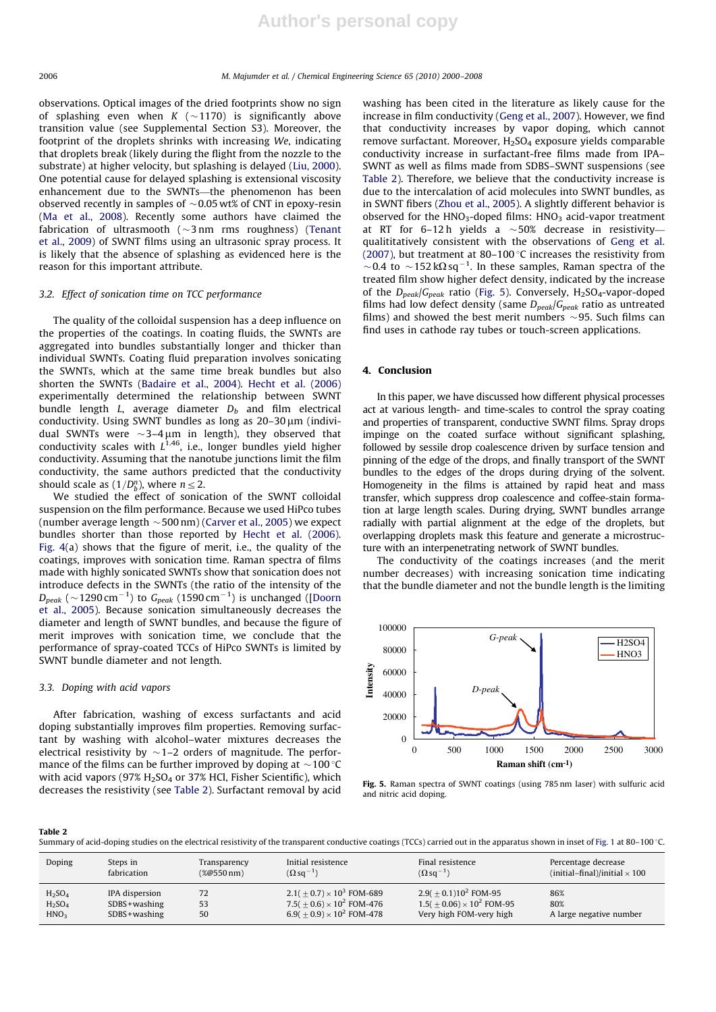observations. Optical images of the dried footprints show no sign of splashing even when  $K$  ( $\sim$ 1170) is significantly above transition value (see Supplemental Section S3). Moreover, the footprint of the droplets shrinks with increasing We, indicating that droplets break (likely during the flight from the nozzle to the substrate) at higher velocity, but splashing is delayed (Liu, 2000). One potential cause for delayed splashing is extensional viscosity enhancement due to the SWNTs—the phenomenon has been observed recently in samples of  $\sim$ 0.05 wt% of CNT in epoxy-resin (Ma et al., 2008). Recently some authors have claimed the fabrication of ultrasmooth ( $\sim$ 3nm rms roughness) (Tenant et al., 2009) of SWNT films using an ultrasonic spray process. It is likely that the absence of splashing as evidenced here is the reason for this important attribute.

## 3.2. Effect of sonication time on TCC performance

The quality of the colloidal suspension has a deep influence on the properties of the coatings. In coating fluids, the SWNTs are aggregated into bundles substantially longer and thicker than individual SWNTs. Coating fluid preparation involves sonicating the SWNTs, which at the same time break bundles but also shorten the SWNTs (Badaire et al., 2004). Hecht et al. (2006) experimentally determined the relationship between SWNT bundle length  $L$ , average diameter  $D_b$  and film electrical conductivity. Using SWNT bundles as long as  $20-30 \,\mu m$  (individual SWNTs were  $\sim$ 3-4  $\mu$ m in length), they observed that conductivity scales with  $L^{1.46}$ , i.e., longer bundles yield higher conductivity. Assuming that the nanotube junctions limit the film conductivity, the same authors predicted that the conductivity should scale as  $(1/D_b^n)$ , where  $n \leq 2$ .

We studied the effect of sonication of the SWNT colloidal suspension on the film performance. Because we used HiPco tubes (number average length  $\sim$  500 nm) (Carver et al., 2005) we expect bundles shorter than those reported by Hecht et al. (2006). Fig. 4(a) shows that the figure of merit, i.e., the quality of the coatings, improves with sonication time. Raman spectra of films made with highly sonicated SWNTs show that sonication does not introduce defects in the SWNTs (the ratio of the intensity of the  $D_{peak}$  (  $\sim$  1290 cm $^{-1}$ ) to  $\,G_{peak}$  (1590 cm $^{-1})$  is unchanged ([Doorn et al., 2005). Because sonication simultaneously decreases the diameter and length of SWNT bundles, and because the figure of merit improves with sonication time, we conclude that the performance of spray-coated TCCs of HiPco SWNTs is limited by SWNT bundle diameter and not length.

## 3.3. Doping with acid vapors

After fabrication, washing of excess surfactants and acid doping substantially improves film properties. Removing surfactant by washing with alcohol–water mixtures decreases the electrical resistivity by  $\sim$  1–2 orders of magnitude. The performance of the films can be further improved by doping at  $\sim$  100 °C with acid vapors (97%  $H<sub>2</sub>SO<sub>4</sub>$  or 37% HCl, Fisher Scientific), which decreases the resistivity (see Table 2). Surfactant removal by acid

washing has been cited in the literature as likely cause for the increase in film conductivity (Geng et al., 2007). However, we find that conductivity increases by vapor doping, which cannot remove surfactant. Moreover,  $H_2SO_4$  exposure yields comparable conductivity increase in surfactant-free films made from IPA– SWNT as well as films made from SDBS–SWNT suspensions (see Table 2). Therefore, we believe that the conductivity increase is due to the intercalation of acid molecules into SWNT bundles, as in SWNT fibers (Zhou et al., 2005). A slightly different behavior is observed for the  $HNO<sub>3</sub>$ -doped films:  $HNO<sub>3</sub>$  acid-vapor treatment at RT for 6–12h yields a  $\sim$ 50% decrease in resistivity qualititatively consistent with the observations of Geng et al. (2007), but treatment at 80-100  $\degree$ C increases the resistivity from  ${\sim}$ 0.4 to  ${\sim}$ 152 k $\Omega$ sq<sup>-1</sup>. In these samples, Raman spectra of the treated film show higher defect density, indicated by the increase of the  $D_{peak}/G_{peak}$  ratio (Fig. 5). Conversely,  $H_2SO_4$ -vapor-doped films had low defect density (same  $D_{peak}/G_{peak}$  ratio as untreated films) and showed the best merit numbers  $\sim$ 95. Such films can find uses in cathode ray tubes or touch-screen applications.

## 4. Conclusion

In this paper, we have discussed how different physical processes act at various length- and time-scales to control the spray coating and properties of transparent, conductive SWNT films. Spray drops impinge on the coated surface without significant splashing, followed by sessile drop coalescence driven by surface tension and pinning of the edge of the drops, and finally transport of the SWNT bundles to the edges of the drops during drying of the solvent. Homogeneity in the films is attained by rapid heat and mass transfer, which suppress drop coalescence and coffee-stain formation at large length scales. During drying, SWNT bundles arrange radially with partial alignment at the edge of the droplets, but overlapping droplets mask this feature and generate a microstructure with an interpenetrating network of SWNT bundles.

The conductivity of the coatings increases (and the merit number decreases) with increasing sonication time indicating that the bundle diameter and not the bundle length is the limiting



Fig. 5. Raman spectra of SWNT coatings (using 785 nm laser) with sulfuric acid and nitric acid doping.

#### Table 2

Summary of acid-doping studies on the electrical resistivity of the transparent conductive coatings (TCCs) carried out in the apparatus shown in inset of Fig. 1 at 80-100 °C.

| Doping                         | Steps in         | Transparency   | Initial resistence                           | Final resistence                   | Percentage decrease                  |
|--------------------------------|------------------|----------------|----------------------------------------------|------------------------------------|--------------------------------------|
|                                | fabrication      | $(\%@550\,nm)$ | $(\Omega$ sq <sup>-1</sup> )                 | $(\Omega$ sq <sup>-1</sup> )       | (initial-final)/initial $\times$ 100 |
| H <sub>2</sub> SO <sub>4</sub> | IPA dispersion   | 72             | $2.1(+0.7) \times 10^3$ FOM-689              | $2.9(+0.1)10^{2}$ FOM-95           | 86%                                  |
| H <sub>2</sub> SO <sub>4</sub> | $SDBS + washing$ | 53             | 7.5( + 0.6) $\times$ 10 <sup>2</sup> FOM-476 | $1.5(\pm 0.06) \times 10^2$ FOM-95 | 80%                                  |
| HNO <sub>3</sub>               | $SDBS + washing$ | 50             | $6.9(+0.9) \times 10^2$ FOM-478              | Very high FOM-very high            | A large negative number              |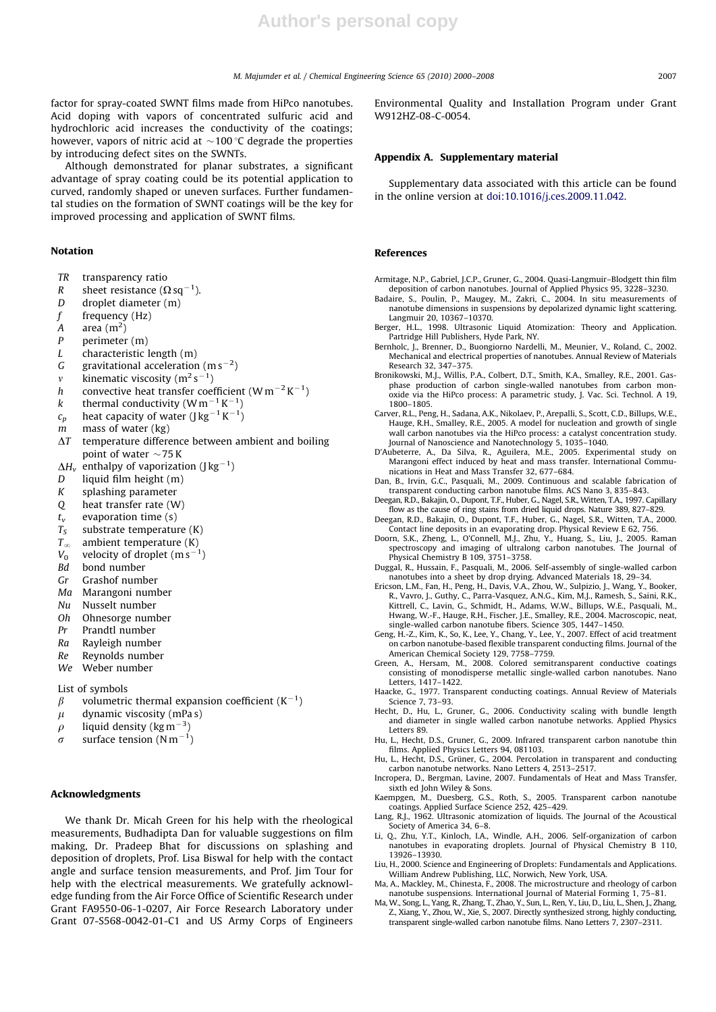factor for spray-coated SWNT films made from HiPco nanotubes. Acid doping with vapors of concentrated sulfuric acid and hydrochloric acid increases the conductivity of the coatings; however, vapors of nitric acid at  $\sim$  100 °C degrade the properties by introducing defect sites on the SWNTs.

Although demonstrated for planar substrates, a significant advantage of spray coating could be its potential application to curved, randomly shaped or uneven surfaces. Further fundamental studies on the formation of SWNT coatings will be the key for improved processing and application of SWNT films.

#### Notation

- TR transparency ratio
- R sheet resistance ( $\Omega$  sq<sup>-1</sup>).
- D droplet diameter (m)
- $f$  frequency (Hz)
- A area  $(m^2)$
- P perimeter (m)
- $L$  characteristic length  $(m)$
- G gravitational acceleration (m s<sup>-2</sup>)
- *v* kinematic viscosity  $(m^2 s^{-1})$
- h convective heat transfer coefficient  $(\text{W}\,\text{m}^{-2}\,\text{K}^{-1})$
- k thermal conductivity (W m<sup>-1</sup> K<sup>-1</sup>)
- $c_p$  heat capacity of water (J kg $^{-1}$  K $^{-1}$ )
- $m$  mass of water (kg)
- 
- $\Delta T$  temperature difference between ambient and boiling point of water  $\sim$  75 K
- $\Delta H_{\rm v}\;$  enthalpy of vaporization (J kg $^{-1})$
- D liquid film height (m)
- K splashing parameter
- Q heat transfer rate (W)
- $t_v$  evaporation time (s)
- $T<sub>S</sub>$  substrate temperature (K)
- $T_\infty$  ambient temperature (K)
- $V_0$  velocity of droplet  $(m s^{-1})$
- Bd bond number
- Gr Grashof number
- Ma Marangoni number
- Nu Nusselt number
- Oh Ohnesorge number
- Pr Prandtl number
- Ra Rayleigh number
- Re Reynolds number
- We Weber number
- List of symbols
- $\beta$  volumetric thermal expansion coefficient (K<sup>-1</sup>)
- $\mu$  dynamic viscosity (mPa s)
- $\rho$  liquid density (kg m<sup>-3</sup>)
- $\sigma$  surface tension (N m<sup>-1</sup>)

## Acknowledgments

We thank Dr. Micah Green for his help with the rheological measurements, Budhadipta Dan for valuable suggestions on film making, Dr. Pradeep Bhat for discussions on splashing and deposition of droplets, Prof. Lisa Biswal for help with the contact angle and surface tension measurements, and Prof. Jim Tour for help with the electrical measurements. We gratefully acknowledge funding from the Air Force Office of Scientific Research under Grant FA9550-06-1-0207, Air Force Research Laboratory under Grant 07-S568-0042-01-C1 and US Army Corps of Engineers Environmental Quality and Installation Program under Grant W912HZ-08-C-0054.

## Appendix A. Supplementary material

Supplementary data associated with this article can be found in the online version at doi:10.1016/j.ces.2009.11.042.

#### References

Armitage, N.P., Gabriel, J.C.P., Gruner, G., 2004. Quasi-Langmuir–Blodgett thin film deposition of carbon nanotubes. Journal of Applied Physics 95, 3228–3230.

- Badaire, S., Poulin, P., Maugey, M., Zakri, C., 2004. In situ measurements of nanotube dimensions in suspensions by depolarized dynamic light scattering. Langmuir 20, 10367–10370.
- Berger, H.L., 1998. Ultrasonic Liquid Atomization: Theory and Application. Partridge Hill Publishers, Hyde Park, NY.
- Bernholc, J., Brenner, D., Buongiorno Nardelli, M., Meunier, V., Roland, C., 2002. Mechanical and electrical properties of nanotubes. Annual Review of Materials Research 32, 347–375.
- Bronikowski, M.J., Willis, P.A., Colbert, D.T., Smith, K.A., Smalley, R.E., 2001. Gasphase production of carbon single-walled nanotubes from carbon monoxide via the HiPco process: A parametric study, J. Vac. Sci. Technol. A 19, 1800–1805.
- Carver, R.L., Peng, H., Sadana, A.K., Nikolaev, P., Arepalli, S., Scott, C.D., Billups, W.E., Hauge, R.H., Smalley, R.E., 2005. A model for nucleation and growth of single wall carbon nanotubes via the HiPco process: a catalyst concentration study. Journal of Nanoscience and Nanotechnology 5, 1035–1040.
- D'Aubeterre, A., Da Silva, R., Aguilera, M.E., 2005. Experimental study on Marangoni effect induced by heat and mass transfer. International Communications in Heat and Mass Transfer 32, 677–684.
- Dan, B., Irvin, G.C., Pasquali, M., 2009. Continuous and scalable fabrication of transparent conducting carbon nanotube films. ACS Nano 3, 835–843. Deegan, R.D., Bakajin, O., Dupont, T.F., Huber, G., Nagel, S.R., Witten, T.A., 1997. Capillary
- flow as the cause of ring stains from dried liquid drops. Nature 389, 827–829.
- Deegan, R.D., Bakajin, O., Dupont, T.F., Huber, G., Nagel, S.R., Witten, T.A., 2000. Contact line deposits in an evaporating drop. Physical Review E 62, 756.
- Doorn, S.K., Zheng, L., O'Connell, M.J., Zhu, Y., Huang, S., Liu, J., 2005. Raman spectroscopy and imaging of ultralong carbon nanotubes. The Journal of Physical Chemistry B 109, 3751–3758.
- Duggal, R., Hussain, F., Pasquali, M., 2006. Self-assembly of single-walled carbon nanotubes into a sheet by drop drying. Advanced Materials 18, 29–34.
- Ericson, L.M., Fan, H., Peng, H., Davis, V.A., Zhou, W., Sulpizio, J., Wang, Y., Booker, R., Vavro, J., Guthy, C., Parra-Vasquez, A.N.G., Kim, M.J., Ramesh, S., Saini, R.K., Kittrell, C., Lavin, G., Schmidt, H., Adams, W.W., Billups, W.E., Pasquali, M., Hwang, W.-F., Hauge, R.H., Fischer, J.E., Smalley, R.E., 2004. Macroscopic, neat, single-walled carbon nanotube fibers. Science 305, 1447–1450.
- Geng, H.-Z., Kim, K., So, K., Lee, Y., Chang, Y., Lee, Y., 2007. Effect of acid treatment on carbon nanotube-based flexible transparent conducting films. Journal of the American Chemical Society 129, 7758–7759.
- Green, A., Hersam, M., 2008. Colored semitransparent conductive coatings consisting of monodisperse metallic single-walled carbon nanotubes. Nano Letters, 1417–1422.
- Haacke, G., 1977. Transparent conducting coatings. Annual Review of Materials Science 7, 73–93.
- Hecht, D., Hu, L., Gruner, G., 2006. Conductivity scaling with bundle length and diameter in single walled carbon nanotube networks. Applied Physics Letters 89
- Hu, L., Hecht, D.S., Gruner, G., 2009. Infrared transparent carbon nanotube thin films. Applied Physics Letters 94, 081103.
- Hu, L., Hecht, D.S., Grüner, G., 2004. Percolation in transparent and conducting carbon nanotube networks. Nano Letters 4, 2513–2517. Incropera, D., Bergman, Lavine, 2007. Fundamentals of Heat and Mass Transfer,
- sixth ed John Wiley & Sons. Kaempgen, M., Duesberg, G.S., Roth, S., 2005. Transparent carbon nanotube
- coatings. Applied Surface Science 252, 425–429. Lang, R.J., 1962. Ultrasonic atomization of liquids. The Journal of the Acoustical
- Society of America 34, 6–8. Q., Zhu, Y.T., Kinloch, I.A., Windle, A.H., 2006. Self-organization of carbon
- nanotubes in evaporating droplets. Journal of Physical Chemistry B 110, 13926–13930.
- Liu, H., 2000. Science and Engineering of Droplets: Fundamentals and Applications. William Andrew Publishing, LLC, Norwich, New York, USA.
- Ma, A., Mackley, M., Chinesta, F., 2008. The microstructure and rheology of carbon nanotube suspensions. International Journal of Material Forming 1, 75–81.
- Ma, W., Song, L., Yang, R., Zhang, T., Zhao, Y., Sun, L., Ren, Y., Liu, D., Liu, L., Shen, J., Zhang, Z., Xiang, Y., Zhou, W., Xie, S., 2007. Directly synthesized strong, highly conducting, transparent single-walled carbon nanotube films. Nano Letters 7, 2307–2311.